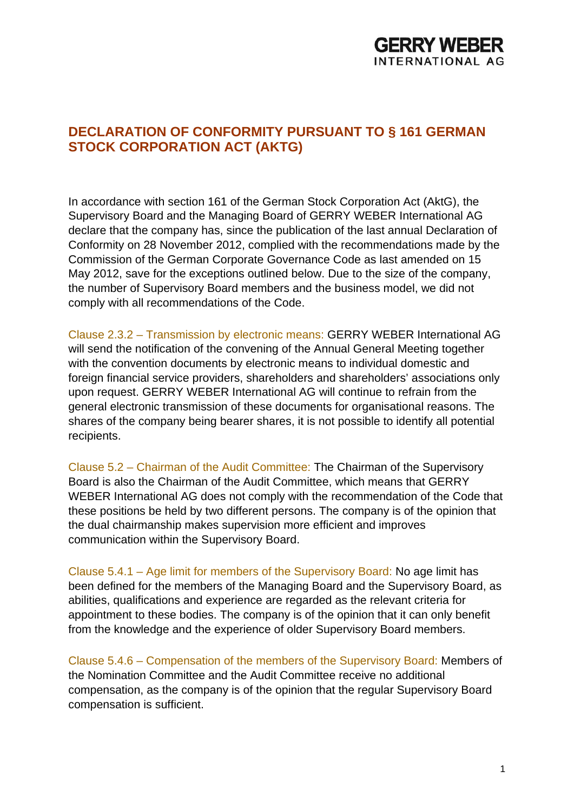

## **DECLARATION OF CONFORMITY PURSUANT TO § 161 GERMAN STOCK CORPORATION ACT (AKTG)**

In accordance with section 161 of the German Stock Corporation Act (AktG), the Supervisory Board and the Managing Board of GERRY WEBER International AG declare that the company has, since the publication of the last annual Declaration of Conformity on 28 November 2012, complied with the recommendations made by the Commission of the German Corporate Governance Code as last amended on 15 May 2012, save for the exceptions outlined below. Due to the size of the company, the number of Supervisory Board members and the business model, we did not comply with all recommendations of the Code.

Clause 2.3.2 – Transmission by electronic means: GERRY WEBER International AG will send the notification of the convening of the Annual General Meeting together with the convention documents by electronic means to individual domestic and foreign financial service providers, shareholders and shareholders' associations only upon request. GERRY WEBER International AG will continue to refrain from the general electronic transmission of these documents for organisational reasons. The shares of the company being bearer shares, it is not possible to identify all potential recipients.

Clause 5.2 – Chairman of the Audit Committee: The Chairman of the Supervisory Board is also the Chairman of the Audit Committee, which means that GERRY WEBER International AG does not comply with the recommendation of the Code that these positions be held by two different persons. The company is of the opinion that the dual chairmanship makes supervision more efficient and improves communication within the Supervisory Board.

Clause 5.4.1 – Age limit for members of the Supervisory Board: No age limit has been defined for the members of the Managing Board and the Supervisory Board, as abilities, qualifications and experience are regarded as the relevant criteria for appointment to these bodies. The company is of the opinion that it can only benefit from the knowledge and the experience of older Supervisory Board members.

Clause 5.4.6 – Compensation of the members of the Supervisory Board: Members of the Nomination Committee and the Audit Committee receive no additional compensation, as the company is of the opinion that the regular Supervisory Board compensation is sufficient.